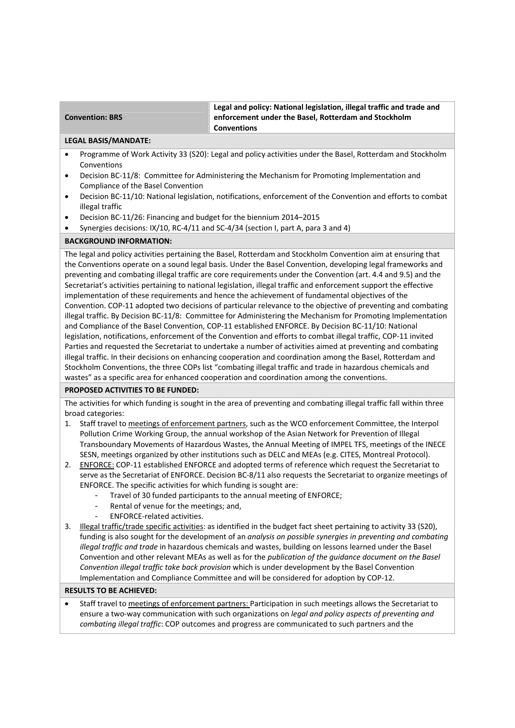### **Convention: BRS**

**Legal and policy: National legislation, illegal traffic and trade and enforcement under the Basel, Rotterdam and Stockholm Conventions** 

#### **LEGAL BASIS/MANDATE:**

- Programme of Work Activity 33 (S20): Legal and policy activities under the Basel, Rotterdam and Stockholm Conventions
- Decision BC-11/8: Committee for Administering the Mechanism for Promoting Implementation and Compliance of the Basel Convention
- Decision BC-11/10: National legislation, notifications, enforcement of the Convention and efforts to combat illegal traffic
- Decision BC‐11/26: Financing and budget for the biennium 2014–2015
- Synergies decisions: IX/10, RC‐4/11 and SC‐4/34 (section I, part A, para 3 and 4)

# **BACKGROUND INFORMATION:**

The legal and policy activities pertaining the Basel, Rotterdam and Stockholm Convention aim at ensuring that the Conventions operate on a sound legal basis. Under the Basel Convention, developing legal frameworks and preventing and combating illegal traffic are core requirements under the Convention (art. 4.4 and 9.5) and the Secretariat's activities pertaining to national legislation, illegal traffic and enforcement support the effective implementation of these requirements and hence the achievement of fundamental objectives of the Convention. COP‐11 adopted two decisions of particular relevance to the objective of preventing and combating illegal traffic. By Decision BC‐11/8: Committee for Administering the Mechanism for Promoting Implementation and Compliance of the Basel Convention, COP-11 established ENFORCE. By Decision BC-11/10: National legislation, notifications, enforcement of the Convention and efforts to combat illegal traffic, COP‐11 invited Parties and requested the Secretariat to undertake a number of activities aimed at preventing and combating illegal traffic. In their decisions on enhancing cooperation and coordination among the Basel, Rotterdam and Stockholm Conventions, the three COPs list "combating illegal traffic and trade in hazardous chemicals and wastes" as a specific area for enhanced cooperation and coordination among the conventions.

## **PROPOSED ACTIVITIES TO BE FUNDED:**

The activities for which funding is sought in the area of preventing and combating illegal traffic fall within three broad categories:

- 1. Staff travel to meetings of enforcement partners, such as the WCO enforcement Committee, the Interpol Pollution Crime Working Group, the annual workshop of the Asian Network for Prevention of Illegal Transboundary Movements of Hazardous Wastes, the Annual Meeting of IMPEL TFS, meetings of the INECE SESN, meetings organized by other institutions such as DELC and MEAs (e.g. CITES, Montreal Protocol).
- 2. ENFORCE: COP-11 established ENFORCE and adopted terms of reference which request the Secretariat to serve as the Secretariat of ENFORCE. Decision BC-8/11 also requests the Secretariat to organize meetings of ENFORCE. The specific activities for which funding is sought are:
	- Travel of 30 funded participants to the annual meeting of ENFORCE;
	- Rental of venue for the meetings; and,
	- ENFORCE-related activities.
- 3. Illegal traffic/trade specific activities: as identified in the budget fact sheet pertaining to activity 33 (S20), funding is also sought for the development of an *analysis on possible synergies in preventing and combating illegal traffic and trade* in hazardous chemicals and wastes, building on lessons learned under the Basel Convention and other relevant MEAs as well as for the *publication of the guidance document on the Basel Convention illegal traffic take back provision* which is under development by the Basel Convention Implementation and Compliance Committee and will be considered for adoption by COP‐12.

## **RESULTS TO BE ACHIEVED:**

 Staff travel to meetings of enforcement partners: Participation in such meetings allows the Secretariat to ensure a two‐way communication with such organizations on *legal and policy aspects of preventing and combating illegal traffic*: COP outcomes and progress are communicated to such partners and the